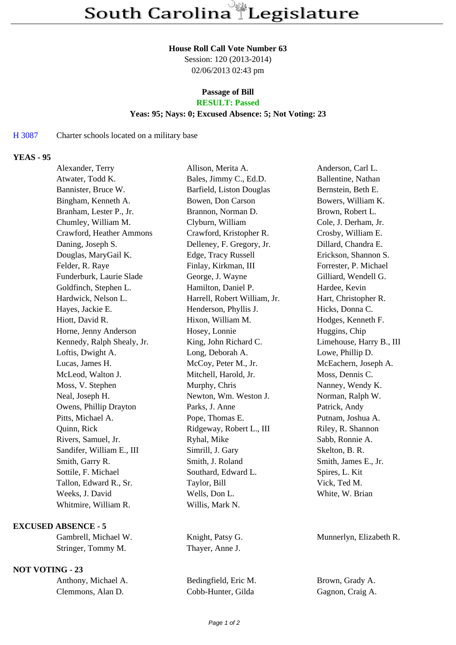#### **House Roll Call Vote Number 63**

Session: 120 (2013-2014) 02/06/2013 02:43 pm

# **Passage of Bill**

# **RESULT: Passed**

### **Yeas: 95; Nays: 0; Excused Absence: 5; Not Voting: 23**

# H 3087 Charter schools located on a military base

## **YEAS - 95**

| Alexander, Terry           | Allison, Merita A.           | Anderson, Carl L.        |
|----------------------------|------------------------------|--------------------------|
| Atwater, Todd K.           | Bales, Jimmy C., Ed.D.       | Ballentine, Nathan       |
| Bannister, Bruce W.        | Barfield, Liston Douglas     | Bernstein, Beth E.       |
| Bingham, Kenneth A.        | Bowen, Don Carson            | Bowers, William K.       |
| Branham, Lester P., Jr.    | Brannon, Norman D.           | Brown, Robert L.         |
| Chumley, William M.        | Clyburn, William             | Cole, J. Derham, Jr.     |
| Crawford, Heather Ammons   | Crawford, Kristopher R.      | Crosby, William E.       |
| Daning, Joseph S.          | Delleney, F. Gregory, Jr.    | Dillard, Chandra E.      |
| Douglas, MaryGail K.       | Edge, Tracy Russell          | Erickson, Shannon S.     |
| Felder, R. Raye            | Finlay, Kirkman, III         | Forrester, P. Michael    |
| Funderburk, Laurie Slade   | George, J. Wayne             | Gilliard, Wendell G.     |
| Goldfinch, Stephen L.      | Hamilton, Daniel P.          | Hardee, Kevin            |
| Hardwick, Nelson L.        | Harrell, Robert William, Jr. | Hart, Christopher R.     |
| Hayes, Jackie E.           | Henderson, Phyllis J.        | Hicks, Donna C.          |
| Hiott, David R.            | Hixon, William M.            | Hodges, Kenneth F.       |
| Horne, Jenny Anderson      | Hosey, Lonnie                | Huggins, Chip            |
| Kennedy, Ralph Shealy, Jr. | King, John Richard C.        | Limehouse, Harry B., III |
| Loftis, Dwight A.          | Long, Deborah A.             | Lowe, Phillip D.         |
| Lucas, James H.            | McCoy, Peter M., Jr.         | McEachern, Joseph A.     |
| McLeod, Walton J.          | Mitchell, Harold, Jr.        | Moss, Dennis C.          |
| Moss, V. Stephen           | Murphy, Chris                | Nanney, Wendy K.         |
| Neal, Joseph H.            | Newton, Wm. Weston J.        | Norman, Ralph W.         |
| Owens, Phillip Drayton     | Parks, J. Anne               | Patrick, Andy            |
| Pitts, Michael A.          | Pope, Thomas E.              | Putnam, Joshua A.        |
| Quinn, Rick                | Ridgeway, Robert L., III     | Riley, R. Shannon        |
| Rivers, Samuel, Jr.        | Ryhal, Mike                  | Sabb, Ronnie A.          |
| Sandifer, William E., III  | Simrill, J. Gary             | Skelton, B. R.           |
| Smith, Garry R.            | Smith, J. Roland             | Smith, James E., Jr.     |
| Sottile, F. Michael        | Southard, Edward L.          | Spires, L. Kit           |
| Tallon, Edward R., Sr.     | Taylor, Bill                 | Vick, Ted M.             |
| Weeks, J. David            | Wells, Don L.                | White, W. Brian          |
| Whitmire, William R.       | Willis, Mark N.              |                          |
|                            |                              |                          |

#### **EXCUSED ABSENCE - 5**

Gambrell, Michael W. Knight, Patsy G. Munnerlyn, Elizabeth R. Stringer, Tommy M. Thayer, Anne J.

### **NOT VOTING - 23**

| Anthony, Michael A. | Bedingfiel |
|---------------------|------------|
| Clemmons, Alan D.   | Cobb-Hun   |

d, Eric M. Brown, Grady A. ter, Gilda Gagnon, Craig A.